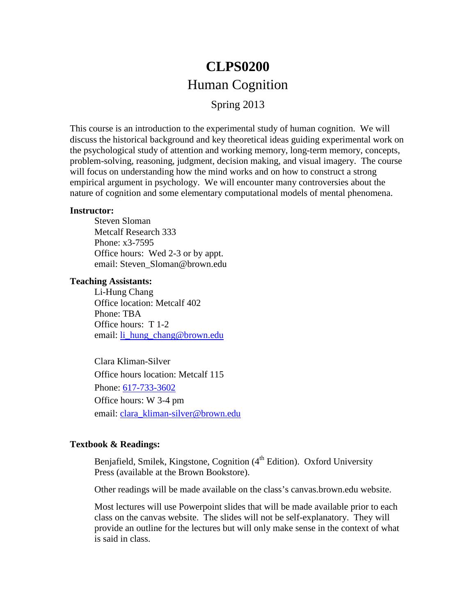# **CLPS0200** Human Cognition

Spring 2013

This course is an introduction to the experimental study of human cognition. We will discuss the historical background and key theoretical ideas guiding experimental work on the psychological study of attention and working memory, long-term memory, concepts, problem-solving, reasoning, judgment, decision making, and visual imagery. The course will focus on understanding how the mind works and on how to construct a strong empirical argument in psychology. We will encounter many controversies about the nature of cognition and some elementary computational models of mental phenomena.

#### **Instructor:**

Steven Sloman Metcalf Research 333 Phone: x3-7595 Office hours: Wed 2-3 or by appt. email: Steven\_Sloman@brown.edu

#### **Teaching Assistants:**

Li-Hung Chang Office location: Metcalf 402 Phone: TBA Office hours: T 1-2 email: [li\\_hung\\_chang@brown.edu](mailto:li_hung_chang@brown.edu)

Clara Kliman-Silver Office hours location: Metcalf 115 Phone: [617-733-3602](tel:617-733-3602) Office hours: W 3-4 pm email: [clara\\_kliman-silver@brown.edu](mailto:clara_kliman-silver@brown.edu)

## **Textbook & Readings:**

Benjafield, Smilek, Kingstone, Cognition  $(4<sup>th</sup> Edition)$ . Oxford University Press (available at the Brown Bookstore).

Other readings will be made available on the class's canvas.brown.edu website.

Most lectures will use Powerpoint slides that will be made available prior to each class on the canvas website. The slides will not be self-explanatory. They will provide an outline for the lectures but will only make sense in the context of what is said in class.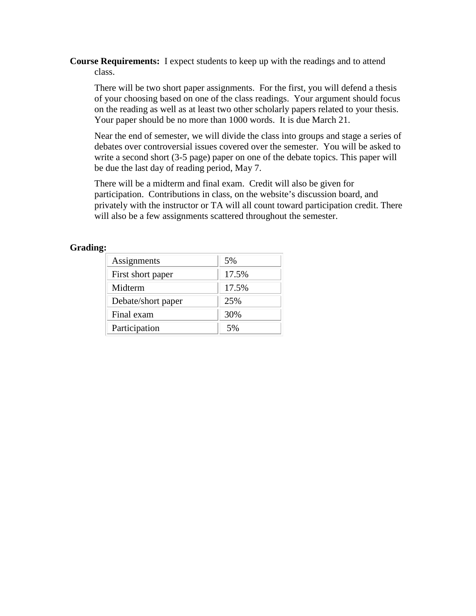**Course Requirements:** I expect students to keep up with the readings and to attend class.

There will be two short paper assignments. For the first, you will defend a thesis of your choosing based on one of the class readings. Your argument should focus on the reading as well as at least two other scholarly papers related to your thesis. Your paper should be no more than 1000 words. It is due March 21.

Near the end of semester, we will divide the class into groups and stage a series of debates over controversial issues covered over the semester. You will be asked to write a second short (3-5 page) paper on one of the debate topics. This paper will be due the last day of reading period, May 7.

There will be a midterm and final exam. Credit will also be given for participation. Contributions in class, on the website's discussion board, and privately with the instructor or TA will all count toward participation credit. There will also be a few assignments scattered throughout the semester.

### **Grading:**

| Assignments        | 5%    |
|--------------------|-------|
| First short paper  | 17.5% |
| Midterm            | 17.5% |
| Debate/short paper | 25%   |
| Final exam         | 30%   |
| Participation      | 5%    |